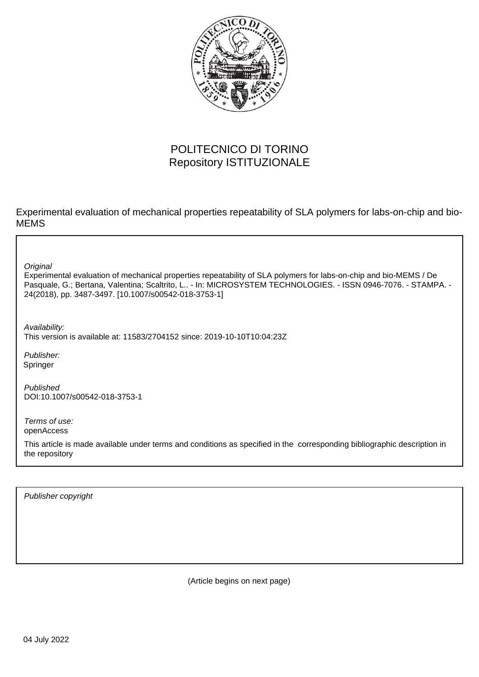

# POLITECNICO DI TORINO Repository ISTITUZIONALE

Experimental evaluation of mechanical properties repeatability of SLA polymers for labs-on-chip and bio-MEMS

**Original** 

Experimental evaluation of mechanical properties repeatability of SLA polymers for labs-on-chip and bio-MEMS / De Pasquale, G.; Bertana, Valentina; Scaltrito, L.. - In: MICROSYSTEM TECHNOLOGIES. - ISSN 0946-7076. - STAMPA. - 24(2018), pp. 3487-3497. [10.1007/s00542-018-3753-1]

Availability:

This version is available at: 11583/2704152 since: 2019-10-10T10:04:23Z

Publisher: Springer

Published DOI:10.1007/s00542-018-3753-1

Terms of use: openAccess

This article is made available under terms and conditions as specified in the corresponding bibliographic description in the repository

Publisher copyright

(Article begins on next page)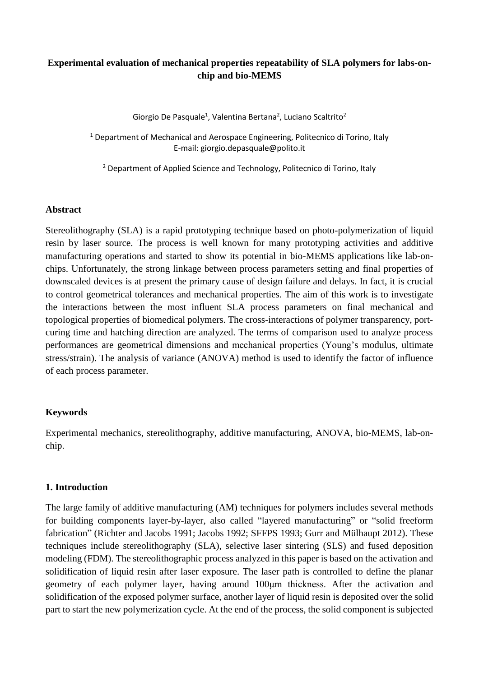# **Experimental evaluation of mechanical properties repeatability of SLA polymers for labs-onchip and bio-MEMS**

Giorgio De Pasquale<sup>1</sup>, Valentina Bertana<sup>2</sup>, Luciano Scaltrito<sup>2</sup>

<sup>1</sup> Department of Mechanical and Aerospace Engineering, Politecnico di Torino, Italy E-mail: giorgio.depasquale@polito.it

<sup>2</sup> Department of Applied Science and Technology, Politecnico di Torino, Italy

### **Abstract**

Stereolithography (SLA) is a rapid prototyping technique based on photo-polymerization of liquid resin by laser source. The process is well known for many prototyping activities and additive manufacturing operations and started to show its potential in bio-MEMS applications like lab-onchips. Unfortunately, the strong linkage between process parameters setting and final properties of downscaled devices is at present the primary cause of design failure and delays. In fact, it is crucial to control geometrical tolerances and mechanical properties. The aim of this work is to investigate the interactions between the most influent SLA process parameters on final mechanical and topological properties of biomedical polymers. The cross-interactions of polymer transparency, portcuring time and hatching direction are analyzed. The terms of comparison used to analyze process performances are geometrical dimensions and mechanical properties (Young's modulus, ultimate stress/strain). The analysis of variance (ANOVA) method is used to identify the factor of influence of each process parameter.

# **Keywords**

Experimental mechanics, stereolithography, additive manufacturing, ANOVA, bio-MEMS, lab-onchip.

### **1. Introduction**

The large family of additive manufacturing (AM) techniques for polymers includes several methods for building components layer-by-layer, also called "layered manufacturing" or "solid freeform fabrication" (Richter and Jacobs 1991; Jacobs 1992; SFFPS 1993; Gurr and Mülhaupt 2012). These techniques include stereolithography (SLA), selective laser sintering (SLS) and fused deposition modeling (FDM). The stereolithographic process analyzed in this paper is based on the activation and solidification of liquid resin after laser exposure. The laser path is controlled to define the planar geometry of each polymer layer, having around 100μm thickness. After the activation and solidification of the exposed polymer surface, another layer of liquid resin is deposited over the solid part to start the new polymerization cycle. At the end of the process, the solid component is subjected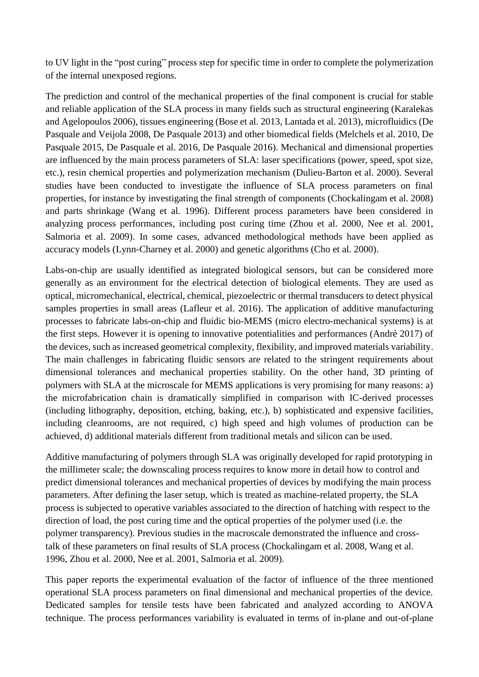to UV light in the "post curing" process step for specific time in order to complete the polymerization of the internal unexposed regions.

The prediction and control of the mechanical properties of the final component is crucial for stable and reliable application of the SLA process in many fields such as structural engineering (Karalekas and Agelopoulos 2006), tissues engineering (Bose et al. 2013, Lantada et al. 2013), microfluidics (De Pasquale and Veijola 2008, De Pasquale 2013) and other biomedical fields (Melchels et al. 2010, De Pasquale 2015, De Pasquale et al. 2016, De Pasquale 2016). Mechanical and dimensional properties are influenced by the main process parameters of SLA: laser specifications (power, speed, spot size, etc.), resin chemical properties and polymerization mechanism (Dulieu-Barton et al. 2000). Several studies have been conducted to investigate the influence of SLA process parameters on final properties, for instance by investigating the final strength of components (Chockalingam et al. 2008) and parts shrinkage (Wang et al. 1996). Different process parameters have been considered in analyzing process performances, including post curing time (Zhou et al. 2000, Nee et al. 2001, Salmoria et al. 2009). In some cases, advanced methodological methods have been applied as accuracy models (Lynn-Charney et al. 2000) and genetic algorithms (Cho et al. 2000).

Labs-on-chip are usually identified as integrated biological sensors, but can be considered more generally as an environment for the electrical detection of biological elements. They are used as optical, micromechanical, electrical, chemical, piezoelectric or thermal transducers to detect physical samples properties in small areas (Lafleur et al. 2016). The application of additive manufacturing processes to fabricate labs-on-chip and fluidic bio-MEMS (micro electro-mechanical systems) is at the first steps. However it is opening to innovative potentialities and performances (Andrè 2017) of the devices, such as increased geometrical complexity, flexibility, and improved materials variability. The main challenges in fabricating fluidic sensors are related to the stringent requirements about dimensional tolerances and mechanical properties stability. On the other hand, 3D printing of polymers with SLA at the microscale for MEMS applications is very promising for many reasons: a) the microfabrication chain is dramatically simplified in comparison with IC-derived processes (including lithography, deposition, etching, baking, etc.), b) sophisticated and expensive facilities, including cleanrooms, are not required, c) high speed and high volumes of production can be achieved, d) additional materials different from traditional metals and silicon can be used.

Additive manufacturing of polymers through SLA was originally developed for rapid prototyping in the millimeter scale; the downscaling process requires to know more in detail how to control and predict dimensional tolerances and mechanical properties of devices by modifying the main process parameters. After defining the laser setup, which is treated as machine-related property, the SLA process is subjected to operative variables associated to the direction of hatching with respect to the direction of load, the post curing time and the optical properties of the polymer used (i.e. the polymer transparency). Previous studies in the macroscale demonstrated the influence and crosstalk of these parameters on final results of SLA process (Chockalingam et al. 2008, Wang et al. 1996, Zhou et al. 2000, Nee et al. 2001, Salmoria et al. 2009).

This paper reports the experimental evaluation of the factor of influence of the three mentioned operational SLA process parameters on final dimensional and mechanical properties of the device. Dedicated samples for tensile tests have been fabricated and analyzed according to ANOVA technique. The process performances variability is evaluated in terms of in-plane and out-of-plane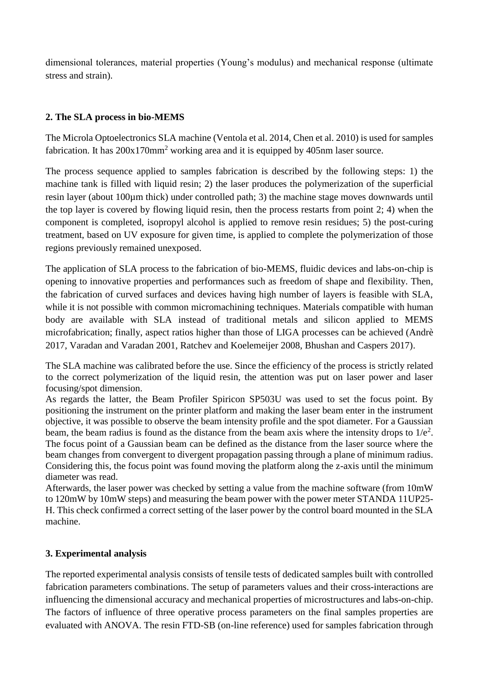dimensional tolerances, material properties (Young's modulus) and mechanical response (ultimate stress and strain).

# **2. The SLA process in bio-MEMS**

The Microla Optoelectronics SLA machine (Ventola et al. 2014, Chen et al. 2010) is used for samples fabrication. It has  $200x170mm^2$  working area and it is equipped by 405nm laser source.

The process sequence applied to samples fabrication is described by the following steps: 1) the machine tank is filled with liquid resin; 2) the laser produces the polymerization of the superficial resin layer (about 100µm thick) under controlled path; 3) the machine stage moves downwards until the top layer is covered by flowing liquid resin, then the process restarts from point 2; 4) when the component is completed, isopropyl alcohol is applied to remove resin residues; 5) the post-curing treatment, based on UV exposure for given time, is applied to complete the polymerization of those regions previously remained unexposed.

The application of SLA process to the fabrication of bio-MEMS, fluidic devices and labs-on-chip is opening to innovative properties and performances such as freedom of shape and flexibility. Then, the fabrication of curved surfaces and devices having high number of layers is feasible with SLA, while it is not possible with common micromachining techniques. Materials compatible with human body are available with SLA instead of traditional metals and silicon applied to MEMS microfabrication; finally, aspect ratios higher than those of LIGA processes can be achieved (Andrè 2017, Varadan and Varadan 2001, Ratchev and Koelemeijer 2008, Bhushan and Caspers 2017).

The SLA machine was calibrated before the use. Since the efficiency of the process is strictly related to the correct polymerization of the liquid resin, the attention was put on laser power and laser focusing/spot dimension.

As regards the latter, the Beam Profiler Spiricon SP503U was used to set the focus point. By positioning the instrument on the printer platform and making the laser beam enter in the instrument objective, it was possible to observe the beam intensity profile and the spot diameter. For a Gaussian beam, the beam radius is found as the distance from the beam axis where the intensity drops to  $1/e<sup>2</sup>$ . The focus point of a Gaussian beam can be defined as the distance from the laser source where the beam changes from convergent to divergent propagation passing through a plane of minimum radius. Considering this, the focus point was found moving the platform along the z-axis until the minimum diameter was read.

Afterwards, the laser power was checked by setting a value from the machine software (from 10mW to 120mW by 10mW steps) and measuring the beam power with the power meter STANDA 11UP25- H. This check confirmed a correct setting of the laser power by the control board mounted in the SLA machine.

# **3. Experimental analysis**

The reported experimental analysis consists of tensile tests of dedicated samples built with controlled fabrication parameters combinations. The setup of parameters values and their cross-interactions are influencing the dimensional accuracy and mechanical properties of microstructures and labs-on-chip. The factors of influence of three operative process parameters on the final samples properties are evaluated with ANOVA. The resin FTD-SB (on-line reference) used for samples fabrication through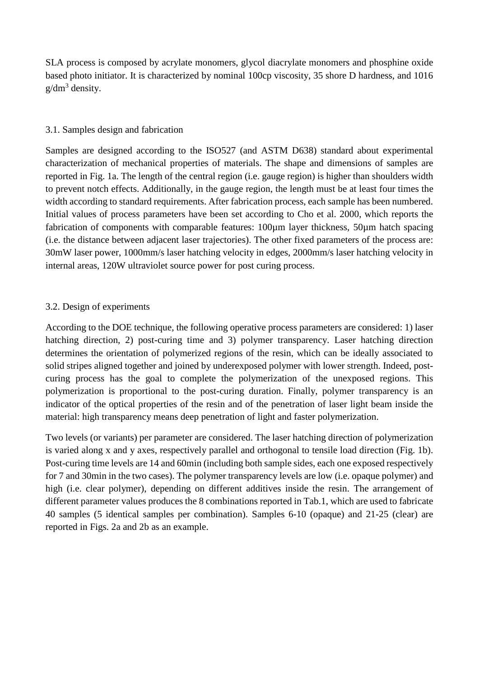SLA process is composed by acrylate monomers, glycol diacrylate monomers and phosphine oxide based photo initiator. It is characterized by nominal 100cp viscosity, 35 shore D hardness, and 1016  $g/dm^3$  density.

# 3.1. Samples design and fabrication

Samples are designed according to the ISO527 (and ASTM D638) standard about experimental characterization of mechanical properties of materials. The shape and dimensions of samples are reported in Fig. 1a. The length of the central region (i.e. gauge region) is higher than shoulders width to prevent notch effects. Additionally, in the gauge region, the length must be at least four times the width according to standard requirements. After fabrication process, each sample has been numbered. Initial values of process parameters have been set according to Cho et al. 2000, which reports the fabrication of components with comparable features: 100µm layer thickness, 50µm hatch spacing (i.e. the distance between adjacent laser trajectories). The other fixed parameters of the process are: 30mW laser power, 1000mm/s laser hatching velocity in edges, 2000mm/s laser hatching velocity in internal areas, 120W ultraviolet source power for post curing process.

# 3.2. Design of experiments

According to the DOE technique, the following operative process parameters are considered: 1) laser hatching direction, 2) post-curing time and 3) polymer transparency. Laser hatching direction determines the orientation of polymerized regions of the resin, which can be ideally associated to solid stripes aligned together and joined by underexposed polymer with lower strength. Indeed, postcuring process has the goal to complete the polymerization of the unexposed regions. This polymerization is proportional to the post-curing duration. Finally, polymer transparency is an indicator of the optical properties of the resin and of the penetration of laser light beam inside the material: high transparency means deep penetration of light and faster polymerization.

Two levels (or variants) per parameter are considered. The laser hatching direction of polymerization is varied along x and y axes, respectively parallel and orthogonal to tensile load direction (Fig. 1b). Post-curing time levels are 14 and 60min (including both sample sides, each one exposed respectively for 7 and 30min in the two cases). The polymer transparency levels are low (i.e. opaque polymer) and high (i.e. clear polymer), depending on different additives inside the resin. The arrangement of different parameter values produces the 8 combinations reported in Tab.1, which are used to fabricate 40 samples (5 identical samples per combination). Samples 6-10 (opaque) and 21-25 (clear) are reported in Figs. 2a and 2b as an example.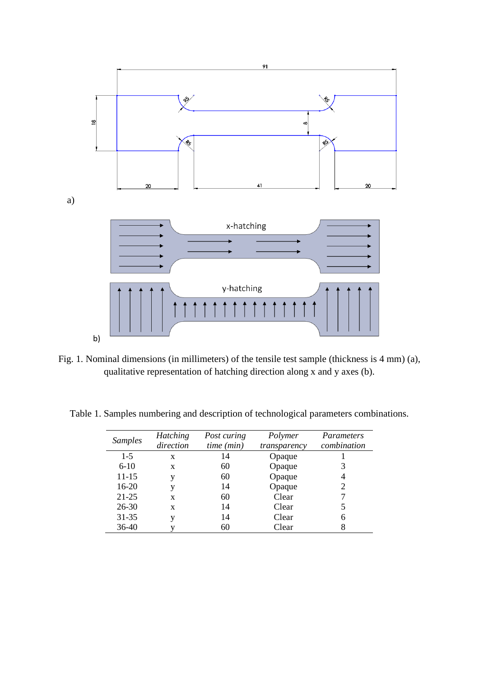

Fig. 1. Nominal dimensions (in millimeters) of the tensile test sample (thickness is 4 mm) (a), qualitative representation of hatching direction along x and y axes (b).

Table 1. Samples numbering and description of technological parameters combinations.

| <b>Samples</b> | <b>Hatching</b><br>direction | Post curing<br>time (min) | Polymer<br>transparency | <i>Parameters</i><br>combination |
|----------------|------------------------------|---------------------------|-------------------------|----------------------------------|
| $1-5$          | X                            | 14                        | Opaque                  |                                  |
| $6-10$         | X                            | 60                        | Opaque                  |                                  |
| 11-15          | v                            | 60                        | Opaque                  |                                  |
| $16-20$        | v                            | 14                        | Opaque                  | 2                                |
| $21 - 25$      | X                            | 60                        | Clear                   |                                  |
| 26-30          | X                            | 14                        | Clear                   |                                  |
| 31-35          | v                            | 14                        | Clear                   | 6                                |
| 36-40          |                              | 60                        | Clear                   | 8                                |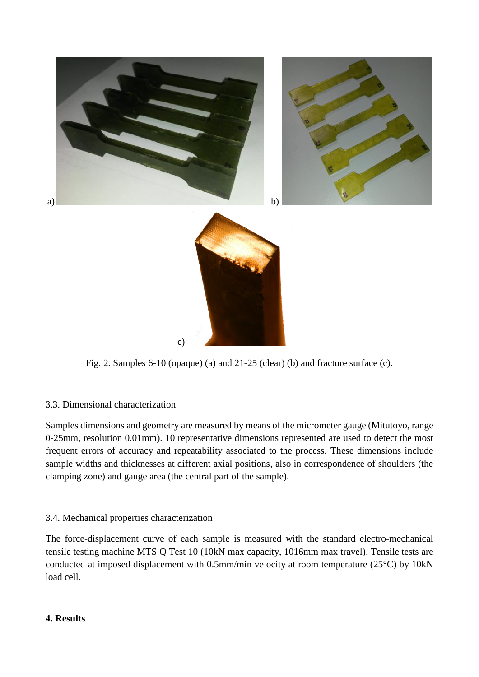

Fig. 2. Samples 6-10 (opaque) (a) and 21-25 (clear) (b) and fracture surface (c).

# 3.3. Dimensional characterization

Samples dimensions and geometry are measured by means of the micrometer gauge (Mitutoyo, range 0-25mm, resolution 0.01mm). 10 representative dimensions represented are used to detect the most frequent errors of accuracy and repeatability associated to the process. These dimensions include sample widths and thicknesses at different axial positions, also in correspondence of shoulders (the clamping zone) and gauge area (the central part of the sample).

# 3.4. Mechanical properties characterization

The force-displacement curve of each sample is measured with the standard electro-mechanical tensile testing machine MTS Q Test 10 (10kN max capacity, 1016mm max travel). Tensile tests are conducted at imposed displacement with 0.5mm/min velocity at room temperature (25°C) by 10kN load cell.

### **4. Results**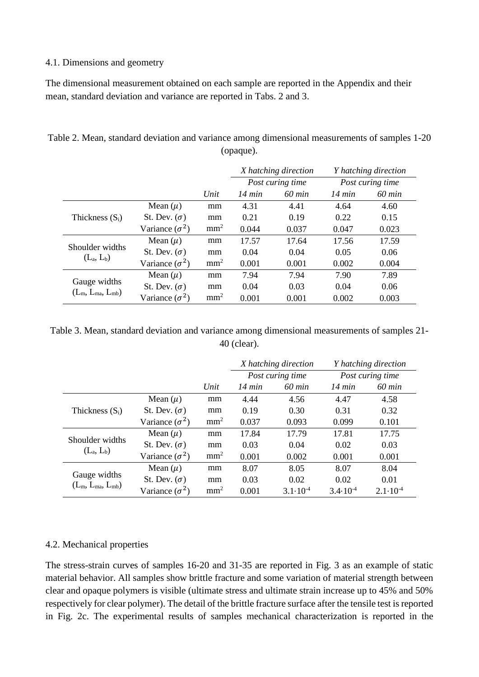### 4.1. Dimensions and geometry

The dimensional measurement obtained on each sample are reported in the Appendix and their mean, standard deviation and variance are reported in Tabs. 2 and 3.

|                                         |                       |                 | X hatching direction<br>Post curing time |        | <i>Y</i> hatching direction |                  |
|-----------------------------------------|-----------------------|-----------------|------------------------------------------|--------|-----------------------------|------------------|
|                                         |                       |                 |                                          |        |                             | Post curing time |
|                                         |                       | Unit            | $14 \text{ min}$                         | 60 min | 14 min                      | $60$ min         |
|                                         | Mean $(\mu)$          | mm              | 4.31                                     | 4.41   | 4.64                        | 4.60             |
| Thickness $(S_i)$                       | St. Dev. $(\sigma)$   | mm              | 0.21                                     | 0.19   | 0.22                        | 0.15             |
|                                         | Variance $(\sigma^2)$ | mm <sup>2</sup> | 0.044                                    | 0.037  | 0.047                       | 0.023            |
|                                         | Mean $(\mu)$          | mm              | 17.57                                    | 17.64  | 17.56                       | 17.59            |
| Shoulder widths<br>$(L_a, L_b)$         | St. Dev. $(\sigma)$   | mm              | 0.04                                     | 0.04   | 0.05                        | 0.06             |
|                                         | Variance $(\sigma^2)$ | mm <sup>2</sup> | 0.001                                    | 0.001  | 0.002                       | 0.004            |
|                                         | Mean $(\mu)$          | mm              | 7.94                                     | 7.94   | 7.90                        | 7.89             |
| Gauge widths<br>$(L_m, L_{ma}, L_{mb})$ | St. Dev. $(\sigma)$   | mm              | 0.04                                     | 0.03   | 0.04                        | 0.06             |
|                                         | Variance $(\sigma^2)$ | mm <sup>2</sup> | 0.001                                    | 0.001  | 0.002                       | 0.003            |

Table 2. Mean, standard deviation and variance among dimensional measurements of samples 1-20 (opaque).

Table 3. Mean, standard deviation and variance among dimensional measurements of samples 21- 40 (clear).

|                                         |                       |                 | X hatching direction |                     |                     | Y hatching direction |
|-----------------------------------------|-----------------------|-----------------|----------------------|---------------------|---------------------|----------------------|
|                                         |                       |                 |                      | Post curing time    |                     | Post curing time     |
|                                         |                       | Unit            | 14 min               | $60$ min            | $14 \text{ min}$    | $60$ min             |
| Thickness $(S_i)$                       | Mean $(\mu)$          | mm              | 4.44                 | 4.56                | 4.47                | 4.58                 |
|                                         | St. Dev. $(\sigma)$   | mm              | 0.19                 | 0.30                | 0.31                | 0.32                 |
|                                         | Variance $(\sigma^2)$ | mm <sup>2</sup> | 0.037                | 0.093               | 0.099               | 0.101                |
|                                         | Mean $(\mu)$          | mm              | 17.84                | 17.79               | 17.81               | 17.75                |
| Shoulder widths<br>$(L_a, L_b)$         | St. Dev. $(\sigma)$   | mm              | 0.03                 | 0.04                | 0.02                | 0.03                 |
|                                         | Variance $(\sigma^2)$ | mm <sup>2</sup> | 0.001                | 0.002               | 0.001               | 0.001                |
|                                         | Mean $(\mu)$          | mm              | 8.07                 | 8.05                | 8.07                | 8.04                 |
| Gauge widths<br>$(L_m, L_{ma}, L_{mb})$ | St. Dev. $(\sigma)$   | mm              | 0.03                 | 0.02                | 0.02                | 0.01                 |
|                                         | Variance $(\sigma^2)$ | mm <sup>2</sup> | 0.001                | $3.1 \cdot 10^{-4}$ | $3.4 \cdot 10^{-4}$ | $2.1 \cdot 10^{-4}$  |

# 4.2. Mechanical properties

The stress-strain curves of samples 16-20 and 31-35 are reported in Fig. 3 as an example of static material behavior. All samples show brittle fracture and some variation of material strength between clear and opaque polymers is visible (ultimate stress and ultimate strain increase up to 45% and 50% respectively for clear polymer). The detail of the brittle fracture surface after the tensile test is reported in Fig. 2c. The experimental results of samples mechanical characterization is reported in the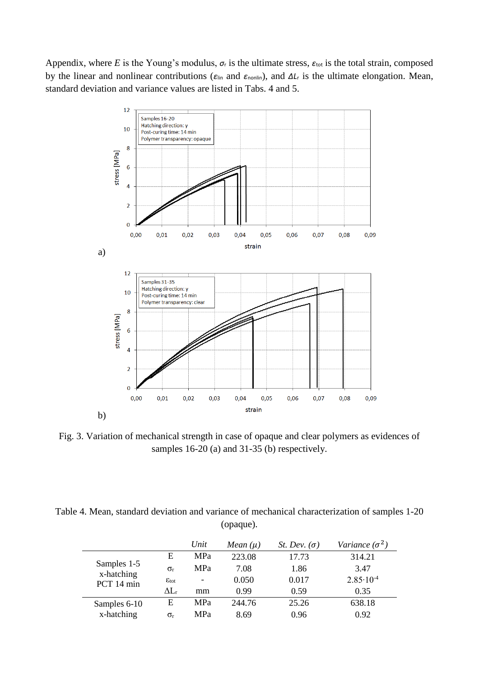Appendix, where *E* is the Young's modulus,  $\sigma_r$  is the ultimate stress,  $\varepsilon_{\text{tot}}$  is the total strain, composed by the linear and nonlinear contributions ( $\varepsilon_{lin}$  and  $\varepsilon_{nonlin}$ ), and  $\Delta L_r$  is the ultimate elongation. Mean, standard deviation and variance values are listed in Tabs. 4 and 5.



Fig. 3. Variation of mechanical strength in case of opaque and clear polymers as evidences of samples 16-20 (a) and 31-35 (b) respectively.

Table 4. Mean, standard deviation and variance of mechanical characterization of samples 1-20 (opaque).

|                                         |                         | Unit       | Mean $(\mu)$ | St. Dev. $(\sigma)$ | Variance $(\sigma^2)$ |
|-----------------------------------------|-------------------------|------------|--------------|---------------------|-----------------------|
| Samples 1-5<br>x-hatching<br>PCT 14 min | E                       | <b>MPa</b> | 223.08       | 17.73               | 314.21                |
|                                         | $\sigma_{r}$            | <b>MPa</b> | 7.08         | 1.86                | 3.47                  |
|                                         | $\varepsilon_{\rm tot}$ | -          | 0.050        | 0.017               | $2.85 \cdot 10^{-4}$  |
|                                         | $\Delta \rm L_r$        | mm         | 0.99         | 0.59                | 0.35                  |
| Samples 6-10                            | E                       | <b>MPa</b> | 244.76       | 25.26               | 638.18                |
| x-hatching                              | $\sigma_{r}$            | <b>MPa</b> | 8.69         | 0.96                | 0.92                  |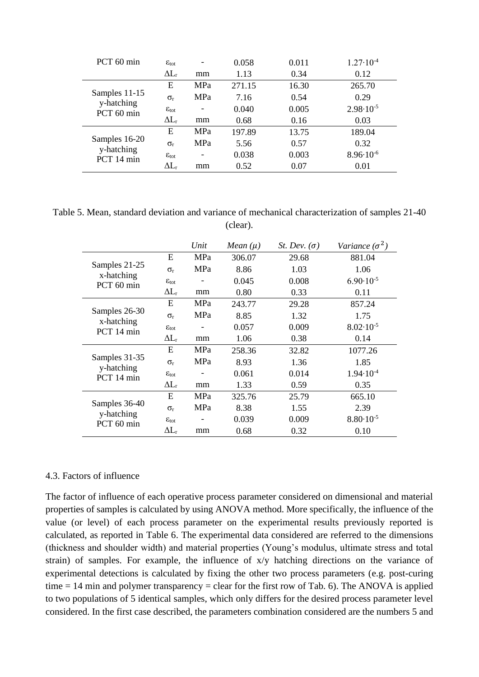| PCT 60 min                                | $\varepsilon_{\rm tot}$   |                              | 0.058  | 0.011 | $1.27 \cdot 10^{-4}$ |
|-------------------------------------------|---------------------------|------------------------------|--------|-------|----------------------|
|                                           | $\Delta L_r$              | mm                           | 1.13   | 0.34  | 0.12                 |
| Samples 11-15<br>y-hatching<br>PCT 60 min | Е                         | <b>MPa</b>                   | 271.15 | 16.30 | 265.70               |
|                                           | $\sigma_{r}$              | <b>MPa</b>                   | 7.16   | 0.54  | 0.29                 |
|                                           | $\varepsilon_{\rm tot}$   | -                            | 0.040  | 0.005 | $2.98 \cdot 10^{-5}$ |
|                                           | $\Delta L_r$              | mm                           | 0.68   | 0.16  | 0.03                 |
|                                           | E                         | <b>MPa</b>                   | 197.89 | 13.75 | 189.04               |
| Samples 16-20<br>y-hatching               | $\sigma_{r}$              | <b>MPa</b>                   | 5.56   | 0.57  | 0.32                 |
| PCT 14 min                                | $\epsilon$ <sub>tot</sub> | $\qquad \qquad \blacksquare$ | 0.038  | 0.003 | $8.96 \cdot 10^{-6}$ |
|                                           | $\Delta \rm L$            | mm                           | 0.52   | 0.07  | 0.01                 |

Table 5. Mean, standard deviation and variance of mechanical characterization of samples 21-40 (clear).

|                                           |                         | Unit       | Mean $(\mu)$ | <i>St. Dev.</i> $(\sigma)$ | Variance $(\sigma^2)$ |
|-------------------------------------------|-------------------------|------------|--------------|----------------------------|-----------------------|
|                                           | E                       | MPa        | 306.07       | 29.68                      | 881.04                |
| Samples 21-25<br>x-hatching               | $\sigma_{r}$            | MPa        | 8.86         | 1.03                       | 1.06                  |
| PCT 60 min                                | $\epsilon_{\rm tot}$    |            | 0.045        | 0.008                      | $6.90 \cdot 10^{-5}$  |
|                                           | $\Delta L_r$            | mm         | 0.80         | 0.33                       | 0.11                  |
| Samples 26-30<br>x-hatching<br>PCT 14 min | E                       | <b>MPa</b> | 243.77       | 29.28                      | 857.24                |
|                                           | $\sigma_{r}$            | MPa        | 8.85         | 1.32                       | 1.75                  |
|                                           | $\varepsilon_{\rm tot}$ |            | 0.057        | 0.009                      | $8.02 \cdot 10^{-5}$  |
|                                           | $\Delta L_r$            | mm         | 1.06         | 0.38                       | 0.14                  |
|                                           | E                       | <b>MPa</b> | 258.36       | 32.82                      | 1077.26               |
| Samples 31-35                             | $\sigma_{r}$            | MPa        | 8.93         | 1.36                       | 1.85                  |
| y-hatching<br>PCT 14 min                  | $\varepsilon_{\rm tot}$ |            | 0.061        | 0.014                      | $1.94 \cdot 10^{-4}$  |
|                                           | $\Delta L_r$            | mm         | 1.33         | 0.59                       | 0.35                  |
|                                           | E                       | MPa        | 325.76       | 25.79                      | 665.10                |
| Samples 36-40                             | $\sigma_{r}$            | MPa        | 8.38         | 1.55                       | 2.39                  |
| y-hatching<br>PCT 60 min                  | $\varepsilon_{\rm tot}$ | -          | 0.039        | 0.009                      | $8.80 \cdot 10^{-5}$  |
|                                           | $\Delta L_{\rm r}$      | mm         | 0.68         | 0.32                       | 0.10                  |

#### 4.3. Factors of influence

The factor of influence of each operative process parameter considered on dimensional and material properties of samples is calculated by using ANOVA method. More specifically, the influence of the value (or level) of each process parameter on the experimental results previously reported is calculated, as reported in Table 6. The experimental data considered are referred to the dimensions (thickness and shoulder width) and material properties (Young's modulus, ultimate stress and total strain) of samples. For example, the influence of x/y hatching directions on the variance of experimental detections is calculated by fixing the other two process parameters (e.g. post-curing time  $= 14$  min and polymer transparency  $=$  clear for the first row of Tab. 6). The ANOVA is applied to two populations of 5 identical samples, which only differs for the desired process parameter level considered. In the first case described, the parameters combination considered are the numbers 5 and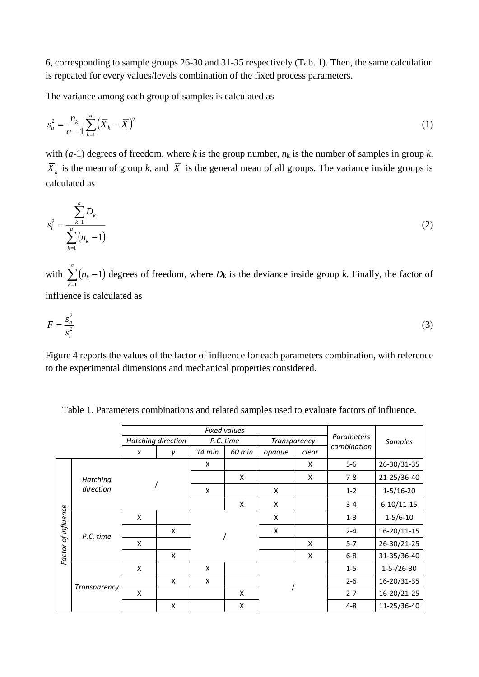6, corresponding to sample groups 26-30 and 31-35 respectively (Tab. 1). Then, the same calculation is repeated for every values/levels combination of the fixed process parameters.

The variance among each group of samples is calculated as

$$
s_a^2 = \frac{n_k}{a-1} \sum_{k=1}^a (\overline{X}_k - \overline{X})^2
$$
 (1)

with  $(a-1)$  degrees of freedom, where *k* is the group number,  $n_k$  is the number of samples in group *k*,  $\overline{X}_k$  is the mean of group *k*, and  $\overline{X}$  is the general mean of all groups. The variance inside groups is calculated as

$$
s_i^2 = \frac{\sum_{k=1}^a D_k}{\sum_{k=1}^a (n_k - 1)}\tag{2}
$$

with  $\sum (n_k - 1)$ *k <sup>n</sup><sup>k</sup>* 1 1) degrees of freedom, where  $D_k$  is the deviance inside group  $k$ . Finally, the factor of

influence is calculated as

$$
F = \frac{s_a^2}{s_i^2} \tag{3}
$$

Figure 4 reports the values of the factor of influence for each parameters combination, with reference to the experimental dimensions and mechanical properties considered.

|                     |                     |                    |   |          | <b>Fixed values</b> |        |              |                |                   |
|---------------------|---------------------|--------------------|---|----------|---------------------|--------|--------------|----------------|-------------------|
|                     |                     | Hatching direction |   |          | P.C. time           |        | Transparency |                | <b>Samples</b>    |
|                     |                     | x                  | У | $14$ min | 60 min              | opaque | clear        | combination    |                   |
|                     |                     |                    |   | X        |                     |        | X            | $5-6$          | 26-30/31-35       |
|                     | Hatching            |                    |   |          | X                   |        | X            | $7-8$          | 21-25/36-40       |
| direction           |                     |                    | X |          | X                   |        | $1 - 2$      | $1-5/16-20$    |                   |
|                     |                     |                    |   |          | X                   | X      |              | $3 - 4$        | $6-10/11-15$      |
| Factor of influence | X                   |                    |   |          | X                   |        | $1 - 3$      | $1 - 5/6 - 10$ |                   |
|                     | P.C. time           |                    | X |          |                     | X      |              | $2 - 4$        | 16-20/11-15       |
|                     |                     | X                  |   |          |                     |        | X            | $5 - 7$        | 26-30/21-25       |
|                     |                     |                    | X |          |                     |        | X            | $6-8$          | 31-35/36-40       |
|                     |                     | X                  |   | X        |                     |        |              | $1 - 5$        | $1 - 5 - 26 - 30$ |
|                     |                     |                    | X | X        |                     |        |              | $2 - 6$        | 16-20/31-35       |
|                     | <b>Transparency</b> | X                  |   |          | X                   |        |              | $2 - 7$        | 16-20/21-25       |
|                     |                     |                    | X |          | X                   |        |              | 4-8            | 11-25/36-40       |

Table 1. Parameters combinations and related samples used to evaluate factors of influence.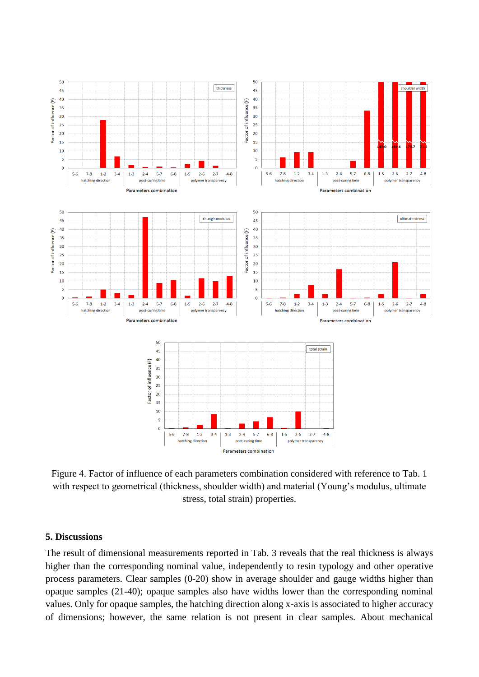

Figure 4. Factor of influence of each parameters combination considered with reference to Tab. 1 with respect to geometrical (thickness, shoulder width) and material (Young's modulus, ultimate stress, total strain) properties.

### **5. Discussions**

The result of dimensional measurements reported in Tab. 3 reveals that the real thickness is always higher than the corresponding nominal value, independently to resin typology and other operative process parameters. Clear samples (0-20) show in average shoulder and gauge widths higher than opaque samples (21-40); opaque samples also have widths lower than the corresponding nominal values. Only for opaque samples, the hatching direction along x-axis is associated to higher accuracy of dimensions; however, the same relation is not present in clear samples. About mechanical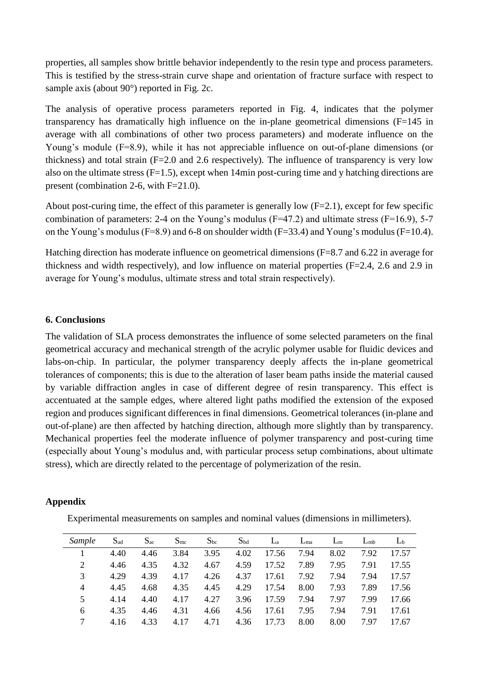properties, all samples show brittle behavior independently to the resin type and process parameters. This is testified by the stress-strain curve shape and orientation of fracture surface with respect to sample axis (about 90 $^{\circ}$ ) reported in Fig. 2c.

The analysis of operative process parameters reported in Fig. 4, indicates that the polymer transparency has dramatically high influence on the in-plane geometrical dimensions (F=145 in average with all combinations of other two process parameters) and moderate influence on the Young's module (F=8.9), while it has not appreciable influence on out-of-plane dimensions (or thickness) and total strain (F=2.0 and 2.6 respectively). The influence of transparency is very low also on the ultimate stress  $(F=1.5)$ , except when 14min post-curing time and y hatching directions are present (combination 2-6, with F=21.0).

About post-curing time, the effect of this parameter is generally low  $(F=2.1)$ , except for few specific combination of parameters: 2-4 on the Young's modulus (F=47.2) and ultimate stress (F=16.9), 5-7 on the Young's modulus (F=8.9) and 6-8 on shoulder width (F=33.4) and Young's modulus (F=10.4).

Hatching direction has moderate influence on geometrical dimensions (F=8.7 and 6.22 in average for thickness and width respectively), and low influence on material properties (F=2.4, 2.6 and 2.9 in average for Young's modulus, ultimate stress and total strain respectively).

### **6. Conclusions**

The validation of SLA process demonstrates the influence of some selected parameters on the final geometrical accuracy and mechanical strength of the acrylic polymer usable for fluidic devices and labs-on-chip. In particular, the polymer transparency deeply affects the in-plane geometrical tolerances of components; this is due to the alteration of laser beam paths inside the material caused by variable diffraction angles in case of different degree of resin transparency. This effect is accentuated at the sample edges, where altered light paths modified the extension of the exposed region and produces significant differences in final dimensions. Geometrical tolerances (in-plane and out-of-plane) are then affected by hatching direction, although more slightly than by transparency. Mechanical properties feel the moderate influence of polymer transparency and post-curing time (especially about Young's modulus and, with particular process setup combinations, about ultimate stress), which are directly related to the percentage of polymerization of the resin.

# **Appendix**

Experimental measurements on samples and nominal values (dimensions in millimeters).

| Sample         | $S_{ad}$ | $S_{ac}$ | $S_{\rm mc}$ | $S_{bc}$ | $S_{bd}$ | $L_a$ | $L_{\text{ma}}$ | $L_{m}$ | $L_{mb}$ | L <sub>b</sub> |
|----------------|----------|----------|--------------|----------|----------|-------|-----------------|---------|----------|----------------|
|                | 4.40     | 4.46     | 3.84         | 3.95     | 4.02     | 17.56 | 7.94            | 8.02    | 7.92     | 17.57          |
| 2              | 4.46     | 4.35     | 4.32         | 4.67     | 4.59     | 17.52 | 7.89            | 7.95    | 7.91     | 17.55          |
| 3              | 4.29     | 4.39     | 4.17         | 4.26     | 4.37     | 17.61 | 7.92            | 7.94    | 7.94     | 17.57          |
| $\overline{4}$ | 4.45     | 4.68     | 4.35         | 4.45     | 4.29     | 17.54 | 8.00            | 7.93    | 7.89     | 17.56          |
| 5              | 4.14     | 4.40     | 4.17         | 4.27     | 3.96     | 17.59 | 7.94            | 7.97    | 7.99     | 17.66          |
| 6              | 4.35     | 4.46     | 4.31         | 4.66     | 4.56     | 17.61 | 7.95            | 7.94    | 7.91     | 17.61          |
|                | 4.16     | 4.33     | 4.17         | 4.71     | 4.36     | 17.73 | 8.00            | 8.00    | 7.97     | 17.67          |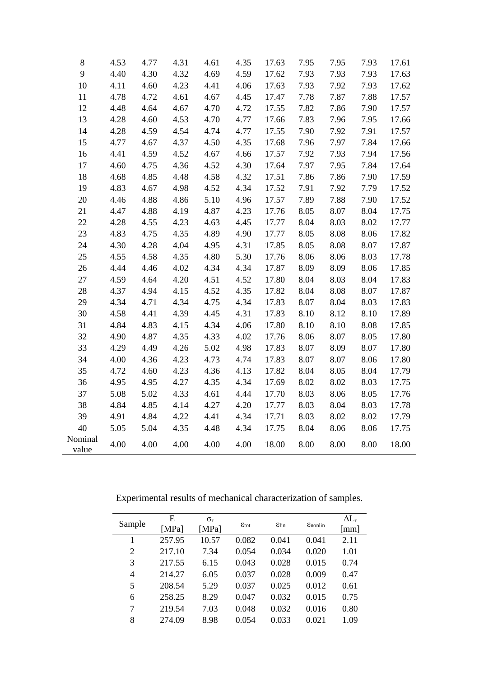| $8\,$            | 4.53 | 4.77 | 4.31 | 4.61 | 4.35 | 17.63 | 7.95 | 7.95 | 7.93 | 17.61 |
|------------------|------|------|------|------|------|-------|------|------|------|-------|
| 9                | 4.40 | 4.30 | 4.32 | 4.69 | 4.59 | 17.62 | 7.93 | 7.93 | 7.93 | 17.63 |
| 10               | 4.11 | 4.60 | 4.23 | 4.41 | 4.06 | 17.63 | 7.93 | 7.92 | 7.93 | 17.62 |
| 11               | 4.78 | 4.72 | 4.61 | 4.67 | 4.45 | 17.47 | 7.78 | 7.87 | 7.88 | 17.57 |
| 12               | 4.48 | 4.64 | 4.67 | 4.70 | 4.72 | 17.55 | 7.82 | 7.86 | 7.90 | 17.57 |
| 13               | 4.28 | 4.60 | 4.53 | 4.70 | 4.77 | 17.66 | 7.83 | 7.96 | 7.95 | 17.66 |
| 14               | 4.28 | 4.59 | 4.54 | 4.74 | 4.77 | 17.55 | 7.90 | 7.92 | 7.91 | 17.57 |
| 15               | 4.77 | 4.67 | 4.37 | 4.50 | 4.35 | 17.68 | 7.96 | 7.97 | 7.84 | 17.66 |
| 16               | 4.41 | 4.59 | 4.52 | 4.67 | 4.66 | 17.57 | 7.92 | 7.93 | 7.94 | 17.56 |
| 17               | 4.60 | 4.75 | 4.36 | 4.52 | 4.30 | 17.64 | 7.97 | 7.95 | 7.84 | 17.64 |
| 18               | 4.68 | 4.85 | 4.48 | 4.58 | 4.32 | 17.51 | 7.86 | 7.86 | 7.90 | 17.59 |
| 19               | 4.83 | 4.67 | 4.98 | 4.52 | 4.34 | 17.52 | 7.91 | 7.92 | 7.79 | 17.52 |
| 20               | 4.46 | 4.88 | 4.86 | 5.10 | 4.96 | 17.57 | 7.89 | 7.88 | 7.90 | 17.52 |
| 21               | 4.47 | 4.88 | 4.19 | 4.87 | 4.23 | 17.76 | 8.05 | 8.07 | 8.04 | 17.75 |
| 22               | 4.28 | 4.55 | 4.23 | 4.63 | 4.45 | 17.77 | 8.04 | 8.03 | 8.02 | 17.77 |
| 23               | 4.83 | 4.75 | 4.35 | 4.89 | 4.90 | 17.77 | 8.05 | 8.08 | 8.06 | 17.82 |
| 24               | 4.30 | 4.28 | 4.04 | 4.95 | 4.31 | 17.85 | 8.05 | 8.08 | 8.07 | 17.87 |
| 25               | 4.55 | 4.58 | 4.35 | 4.80 | 5.30 | 17.76 | 8.06 | 8.06 | 8.03 | 17.78 |
| 26               | 4.44 | 4.46 | 4.02 | 4.34 | 4.34 | 17.87 | 8.09 | 8.09 | 8.06 | 17.85 |
| 27               | 4.59 | 4.64 | 4.20 | 4.51 | 4.52 | 17.80 | 8.04 | 8.03 | 8.04 | 17.83 |
| 28               | 4.37 | 4.94 | 4.15 | 4.52 | 4.35 | 17.82 | 8.04 | 8.08 | 8.07 | 17.87 |
| 29               | 4.34 | 4.71 | 4.34 | 4.75 | 4.34 | 17.83 | 8.07 | 8.04 | 8.03 | 17.83 |
| 30               | 4.58 | 4.41 | 4.39 | 4.45 | 4.31 | 17.83 | 8.10 | 8.12 | 8.10 | 17.89 |
| 31               | 4.84 | 4.83 | 4.15 | 4.34 | 4.06 | 17.80 | 8.10 | 8.10 | 8.08 | 17.85 |
| 32               | 4.90 | 4.87 | 4.35 | 4.33 | 4.02 | 17.76 | 8.06 | 8.07 | 8.05 | 17.80 |
| 33               | 4.29 | 4.49 | 4.26 | 5.02 | 4.98 | 17.83 | 8.07 | 8.09 | 8.07 | 17.80 |
| 34               | 4.00 | 4.36 | 4.23 | 4.73 | 4.74 | 17.83 | 8.07 | 8.07 | 8.06 | 17.80 |
| 35               | 4.72 | 4.60 | 4.23 | 4.36 | 4.13 | 17.82 | 8.04 | 8.05 | 8.04 | 17.79 |
| 36               | 4.95 | 4.95 | 4.27 | 4.35 | 4.34 | 17.69 | 8.02 | 8.02 | 8.03 | 17.75 |
| 37               | 5.08 | 5.02 | 4.33 | 4.61 | 4.44 | 17.70 | 8.03 | 8.06 | 8.05 | 17.76 |
| 38               | 4.84 | 4.85 | 4.14 | 4.27 | 4.20 | 17.77 | 8.03 | 8.04 | 8.03 | 17.78 |
| 39               | 4.91 | 4.84 | 4.22 | 4.41 | 4.34 | 17.71 | 8.03 | 8.02 | 8.02 | 17.79 |
| 40               | 5.05 | 5.04 | 4.35 | 4.48 | 4.34 | 17.75 | 8.04 | 8.06 | 8.06 | 17.75 |
| Nominal<br>value | 4.00 | 4.00 | 4.00 | 4.00 | 4.00 | 18.00 | 8.00 | 8.00 | 8.00 | 18.00 |

Experimental results of mechanical characterization of samples.

| Sample         | Е<br>[MPa] | $\sigma_{r}$<br>[MPa] | $\varepsilon_{\rm tot}$ | $E$ lin | $E_{nonlin}$ | $\Delta L_r$<br>$\lceil$ mm $\rceil$ |
|----------------|------------|-----------------------|-------------------------|---------|--------------|--------------------------------------|
| 1              | 257.95     | 10.57                 | 0.082                   | 0.041   | 0.041        | 2.11                                 |
| $\overline{2}$ | 217.10     | 7.34                  | 0.054                   | 0.034   | 0.020        | 1.01                                 |
| 3              | 217.55     | 6.15                  | 0.043                   | 0.028   | 0.015        | 0.74                                 |
| 4              | 214.27     | 6.05                  | 0.037                   | 0.028   | 0.009        | 0.47                                 |
| 5              | 208.54     | 5.29                  | 0.037                   | 0.025   | 0.012        | 0.61                                 |
| 6              | 258.25     | 8.29                  | 0.047                   | 0.032   | 0.015        | 0.75                                 |
| 7              | 219.54     | 7.03                  | 0.048                   | 0.032   | 0.016        | 0.80                                 |
| 8              | 274.09     | 8.98                  | 0.054                   | 0.033   | 0.021        | 1.09                                 |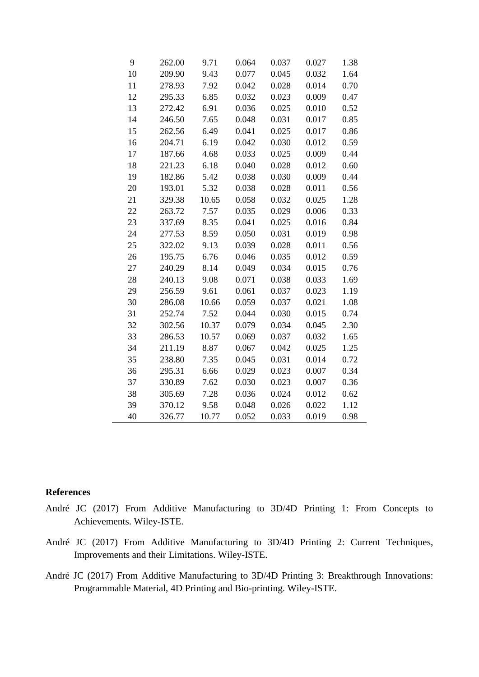| 9  | 262.00 | 9.71  | 0.064 | 0.037 | 0.027 | 1.38 |
|----|--------|-------|-------|-------|-------|------|
| 10 | 209.90 | 9.43  | 0.077 | 0.045 | 0.032 | 1.64 |
| 11 | 278.93 | 7.92  | 0.042 | 0.028 | 0.014 | 0.70 |
| 12 | 295.33 | 6.85  | 0.032 | 0.023 | 0.009 | 0.47 |
| 13 | 272.42 | 6.91  | 0.036 | 0.025 | 0.010 | 0.52 |
| 14 | 246.50 | 7.65  | 0.048 | 0.031 | 0.017 | 0.85 |
| 15 | 262.56 | 6.49  | 0.041 | 0.025 | 0.017 | 0.86 |
| 16 | 204.71 | 6.19  | 0.042 | 0.030 | 0.012 | 0.59 |
| 17 | 187.66 | 4.68  | 0.033 | 0.025 | 0.009 | 0.44 |
| 18 | 221.23 | 6.18  | 0.040 | 0.028 | 0.012 | 0.60 |
| 19 | 182.86 | 5.42  | 0.038 | 0.030 | 0.009 | 0.44 |
| 20 | 193.01 | 5.32  | 0.038 | 0.028 | 0.011 | 0.56 |
| 21 | 329.38 | 10.65 | 0.058 | 0.032 | 0.025 | 1.28 |
| 22 | 263.72 | 7.57  | 0.035 | 0.029 | 0.006 | 0.33 |
| 23 | 337.69 | 8.35  | 0.041 | 0.025 | 0.016 | 0.84 |
| 24 | 277.53 | 8.59  | 0.050 | 0.031 | 0.019 | 0.98 |
| 25 | 322.02 | 9.13  | 0.039 | 0.028 | 0.011 | 0.56 |
| 26 | 195.75 | 6.76  | 0.046 | 0.035 | 0.012 | 0.59 |
| 27 | 240.29 | 8.14  | 0.049 | 0.034 | 0.015 | 0.76 |
| 28 | 240.13 | 9.08  | 0.071 | 0.038 | 0.033 | 1.69 |
| 29 | 256.59 | 9.61  | 0.061 | 0.037 | 0.023 | 1.19 |
| 30 | 286.08 | 10.66 | 0.059 | 0.037 | 0.021 | 1.08 |
| 31 | 252.74 | 7.52  | 0.044 | 0.030 | 0.015 | 0.74 |
| 32 | 302.56 | 10.37 | 0.079 | 0.034 | 0.045 | 2.30 |
| 33 | 286.53 | 10.57 | 0.069 | 0.037 | 0.032 | 1.65 |
| 34 | 211.19 | 8.87  | 0.067 | 0.042 | 0.025 | 1.25 |
| 35 | 238.80 | 7.35  | 0.045 | 0.031 | 0.014 | 0.72 |
| 36 | 295.31 | 6.66  | 0.029 | 0.023 | 0.007 | 0.34 |
| 37 | 330.89 | 7.62  | 0.030 | 0.023 | 0.007 | 0.36 |
| 38 | 305.69 | 7.28  | 0.036 | 0.024 | 0.012 | 0.62 |
| 39 | 370.12 | 9.58  | 0.048 | 0.026 | 0.022 | 1.12 |
| 40 | 326.77 | 10.77 | 0.052 | 0.033 | 0.019 | 0.98 |

#### **References**

- André JC (2017) From Additive Manufacturing to 3D/4D Printing 1: From Concepts to Achievements. Wiley-ISTE.
- André JC (2017) From Additive Manufacturing to 3D/4D Printing 2: Current Techniques, Improvements and their Limitations. Wiley-ISTE.
- André JC (2017) From Additive Manufacturing to 3D/4D Printing 3: Breakthrough Innovations: Programmable Material, 4D Printing and Bio-printing. Wiley-ISTE.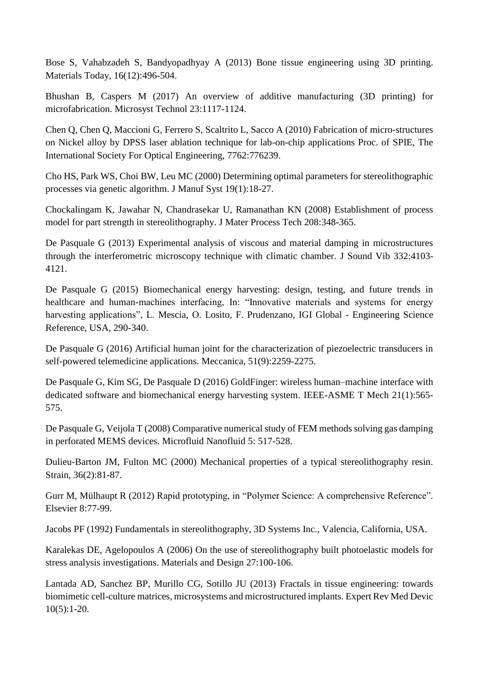Bose S, Vahabzadeh S, Bandyopadhyay A (2013) Bone tissue engineering using 3D printing. Materials Today, 16(12):496-504.

Bhushan B, Caspers M (2017) An overview of additive manufacturing (3D printing) for microfabrication. Microsyst Technol 23:1117-1124.

Chen Q, Chen Q, Maccioni G, Ferrero S, Scaltrito L, Sacco A (2010) Fabrication of micro-structures on Nickel alloy by DPSS laser ablation technique for lab-on-chip applications Proc. of SPIE, The International Society For Optical Engineering, 7762:776239.

Cho HS, Park WS, Choi BW, Leu MC (2000) Determining optimal parameters for stereolithographic processes via genetic algorithm. J Manuf Syst 19(1):18-27.

Chockalingam K, Jawahar N, Chandrasekar U, Ramanathan KN (2008) Establishment of process model for part strength in stereolithography. J Mater Process Tech 208:348-365.

De Pasquale G (2013) Experimental analysis of viscous and material damping in microstructures through the interferometric microscopy technique with climatic chamber. J Sound Vib 332:4103- 4121.

De Pasquale G (2015) Biomechanical energy harvesting: design, testing, and future trends in healthcare and human-machines interfacing, In: "Innovative materials and systems for energy harvesting applications", L. Mescia, O. Losito, F. Prudenzano, IGI Global - Engineering Science Reference, USA, 290-340.

De Pasquale G (2016) Artificial human joint for the characterization of piezoelectric transducers in self-powered telemedicine applications. Meccanica, 51(9):2259-2275.

De Pasquale G, Kim SG, De Pasquale D (2016) GoldFinger: wireless human–machine interface with dedicated software and biomechanical energy harvesting system. IEEE-ASME T Mech 21(1):565- 575.

De Pasquale G, Veijola T (2008) Comparative numerical study of FEM methods solving gas damping in perforated MEMS devices. Microfluid Nanofluid 5: 517-528.

Dulieu-Barton JM, Fulton MC (2000) Mechanical properties of a typical stereolithography resin. Strain, 36(2):81-87.

Gurr M, Mülhaupt R (2012) Rapid prototyping, in "Polymer Science: A comprehensive Reference". Elsevier 8:77-99.

Jacobs PF (1992) Fundamentals in stereolithography, 3D Systems Inc., Valencia, California, USA.

Karalekas DE, Agelopoulos A (2006) On the use of stereolithography built photoelastic models for stress analysis investigations. Materials and Design 27:100-106.

Lantada AD, Sanchez BP, Murillo CG, Sotillo JU (2013) Fractals in tissue engineering: towards biomimetic cell-culture matrices, microsystems and microstructured implants. Expert Rev Med Devic 10(5):1-20.